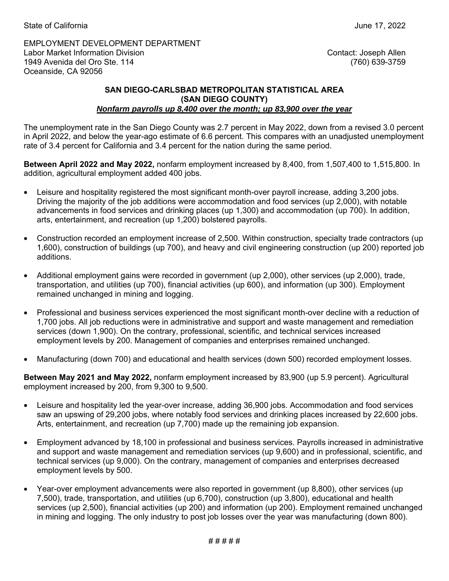EMPLOYMENT DEVELOPMENT DEPARTMENT Labor Market Information Division 1949 Avenida del Oro Ste. 114 Oceanside, CA 92056

Contact: Joseph Allen (760) 639-3759

## **SAN DIEGO-CARLSBAD METROPOLITAN STATISTICAL AREA (SAN DIEGO COUNTY)**  *Nonfarm payrolls up 8,400 over the month; up 83,900 over the year*

The unemployment rate in the San Diego County was 2.7 percent in May 2022, down from a revised 3.0 percent in April 2022, and below the year-ago estimate of 6.6 percent. This compares with an unadjusted unemployment rate of 3.4 percent for California and 3.4 percent for the nation during the same period.

**Between April 2022 and May 2022,** nonfarm employment increased by 8,400, from 1,507,400 to 1,515,800. In addition, agricultural employment added 400 jobs.

- Leisure and hospitality registered the most significant month-over payroll increase, adding 3,200 jobs. Driving the majority of the job additions were accommodation and food services (up 2,000), with notable advancements in food services and drinking places (up 1,300) and accommodation (up 700). In addition, arts, entertainment, and recreation (up 1,200) bolstered payrolls.
- Construction recorded an employment increase of 2,500. Within construction, specialty trade contractors (up 1,600), construction of buildings (up 700), and heavy and civil engineering construction (up 200) reported job additions.
- Additional employment gains were recorded in government (up 2,000), other services (up 2,000), trade, transportation, and utilities (up 700), financial activities (up 600), and information (up 300). Employment remained unchanged in mining and logging.
- Professional and business services experienced the most significant month-over decline with a reduction of 1,700 jobs. All job reductions were in administrative and support and waste management and remediation services (down 1,900). On the contrary, professional, scientific, and technical services increased employment levels by 200. Management of companies and enterprises remained unchanged.
- Manufacturing (down 700) and educational and health services (down 500) recorded employment losses.

**Between May 2021 and May 2022,** nonfarm employment increased by 83,900 (up 5.9 percent). Agricultural employment increased by 200, from 9,300 to 9,500.

- Leisure and hospitality led the year-over increase, adding 36,900 jobs. Accommodation and food services saw an upswing of 29,200 jobs, where notably food services and drinking places increased by 22,600 jobs. Arts, entertainment, and recreation (up 7,700) made up the remaining job expansion.
- Employment advanced by 18,100 in professional and business services. Payrolls increased in administrative and support and waste management and remediation services (up 9,600) and in professional, scientific, and technical services (up 9,000). On the contrary, management of companies and enterprises decreased employment levels by 500.
- Year-over employment advancements were also reported in government (up 8,800), other services (up 7,500), trade, transportation, and utilities (up 6,700), construction (up 3,800), educational and health services (up 2,500), financial activities (up 200) and information (up 200). Employment remained unchanged in mining and logging. The only industry to post job losses over the year was manufacturing (down 800).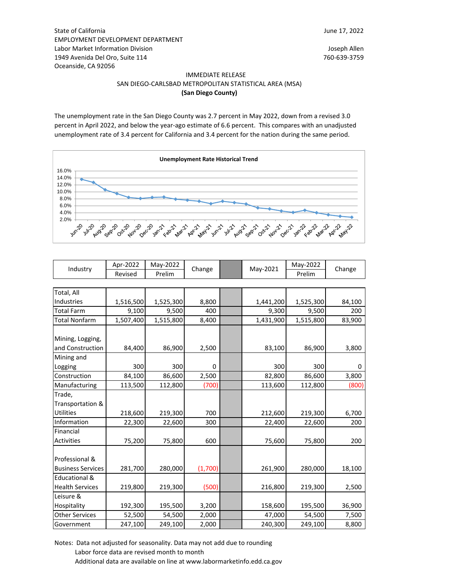State of California EMPLOYMENT DEVELOPMENT DEPARTMENT Labor Market Information Division Joseph Allen 1949 Avenida Del Oro, Suite 114 760-639-3759 Oceanside, CA 92056

### IMMEDIATE RELEASE SAN DIEGO-CARLSBAD METROPOLITAN STATISTICAL AREA (MSA) **(San Diego County)**

The unemployment rate in the San Diego County was 2.7 percent in May 2022, down from a revised 3.0 percent in April 2022, and below the year-ago estimate of 6.6 percent. This compares with an unadjusted unemployment rate of 3.4 percent for California and 3.4 percent for the nation during the same period.



| Industry | Apr-2022 | Mav-2022 | Change |  | May-2021 | May-2022 | Change |  |
|----------|----------|----------|--------|--|----------|----------|--------|--|
|          | Revised  | Prelim   |        |  |          | Prelim   |        |  |

| Total, All               |           |           |          |           |           |        |
|--------------------------|-----------|-----------|----------|-----------|-----------|--------|
| <b>Industries</b>        | 1,516,500 | 1,525,300 | 8,800    | 1,441,200 | 1,525,300 | 84,100 |
| <b>Total Farm</b>        | 9,100     | 9,500     | 400      | 9,300     | 9,500     | 200    |
| Total Nonfarm            | 1,507,400 | 1,515,800 | 8,400    | 1,431,900 | 1,515,800 | 83,900 |
|                          |           |           |          |           |           |        |
| Mining, Logging,         |           |           |          |           |           |        |
| and Construction         | 84,400    | 86,900    | 2,500    | 83,100    | 86,900    | 3,800  |
| Mining and               |           |           |          |           |           |        |
| Logging                  | 300       | 300       | $\Omega$ | 300       | 300       | 0      |
| Construction             | 84,100    | 86,600    | 2,500    | 82,800    | 86,600    | 3,800  |
| Manufacturing            | 113,500   | 112,800   | (700)    | 113,600   | 112,800   | (800)  |
| Trade,                   |           |           |          |           |           |        |
| Transportation &         |           |           |          |           |           |        |
| <b>Utilities</b>         | 218,600   | 219,300   | 700      | 212,600   | 219,300   | 6,700  |
| Information              | 22,300    | 22,600    | 300      | 22,400    | 22,600    | 200    |
| Financial                |           |           |          |           |           |        |
| Activities               | 75,200    | 75,800    | 600      | 75,600    | 75,800    | 200    |
|                          |           |           |          |           |           |        |
| Professional &           |           |           |          |           |           |        |
| <b>Business Services</b> | 281,700   | 280,000   | (1,700)  | 261,900   | 280,000   | 18,100 |
| <b>Educational &amp;</b> |           |           |          |           |           |        |
| <b>Health Services</b>   | 219,800   | 219,300   | (500)    | 216,800   | 219,300   | 2,500  |
| Leisure &                |           |           |          |           |           |        |
| Hospitality              | 192,300   | 195,500   | 3,200    | 158,600   | 195,500   | 36,900 |
| <b>Other Services</b>    | 52,500    | 54,500    | 2,000    | 47,000    | 54,500    | 7,500  |
| Government               | 247,100   | 249,100   | 2,000    | 240,300   | 249,100   | 8,800  |

Notes: Data not adjusted for seasonality. Data may not add due to rounding Labor force data are revised month to month Additional data are available on line at www.labormarketinfo.edd.ca.gov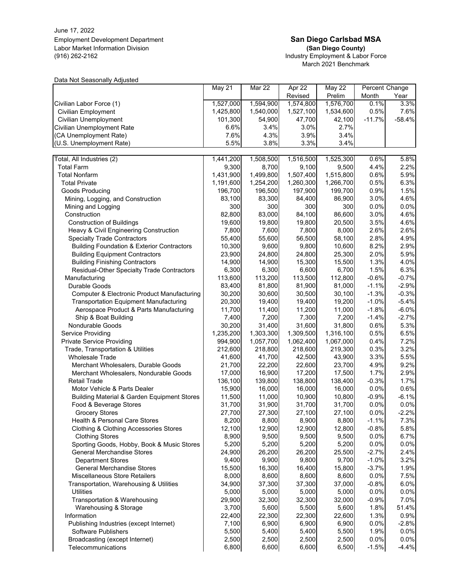June 17, 2022 Employment Development Department **San Diego Carlsbad MSA** Labor Market Information Division<br>(916) 262-2162

# (San Diego County)<br>Industry Employment & Labor Force March 2021 Benchmark

Data Not Seasonally Adjusted

|                                                        | May 21    | Mar 22    | Apr $22$  | May 22    | Percent Change |          |
|--------------------------------------------------------|-----------|-----------|-----------|-----------|----------------|----------|
|                                                        |           |           | Revised   | Prelim    | Month          | Year     |
| Civilian Labor Force (1)                               | 1,527,000 | 1,594,900 | 1,574,800 | 1,576,700 | 0.1%           | 3.3%     |
| <b>Civilian Employment</b>                             | 1,425,800 | 1,540,000 | 1,527,100 | 1,534,600 | 0.5%           | 7.6%     |
| Civilian Unemployment                                  | 101,300   | 54,900    | 47,700    | 42,100    | $-11.7%$       | $-58.4%$ |
| Civilian Unemployment Rate                             | 6.6%      | 3.4%      | 3.0%      | 2.7%      |                |          |
| (CA Unemployment Rate)                                 | 7.6%      | 4.3%      | 3.9%      | 3.4%      |                |          |
| (U.S. Unemployment Rate)                               | 5.5%      | 3.8%      | 3.3%      | 3.4%      |                |          |
| Total, All Industries (2)                              | 1,441,200 | 1,508,500 | 1,516,500 | 1,525,300 | 0.6%           | 5.8%     |
| <b>Total Farm</b>                                      | 9,300     | 8,700     | 9,100     | 9,500     | 4.4%           | 2.2%     |
| <b>Total Nonfarm</b>                                   | 1,431,900 | 1,499,800 | 1,507,400 | 1,515,800 | 0.6%           | 5.9%     |
| <b>Total Private</b>                                   |           | 1,254,200 | 1,260,300 | 1,266,700 | 0.5%           | 6.3%     |
|                                                        | 1,191,600 |           |           |           |                |          |
| Goods Producing                                        | 196,700   | 196,500   | 197,900   | 199,700   | 0.9%           | 1.5%     |
| Mining, Logging, and Construction                      | 83,100    | 83,300    | 84,400    | 86,900    | 3.0%           | 4.6%     |
| Mining and Logging                                     | 300       | 300       | 300       | 300       | 0.0%           | 0.0%     |
| Construction                                           | 82,800    | 83,000    | 84,100    | 86,600    | 3.0%           | 4.6%     |
| <b>Construction of Buildings</b>                       | 19,600    | 19,800    | 19,800    | 20,500    | 3.5%           | 4.6%     |
| Heavy & Civil Engineering Construction                 | 7,800     | 7,600     | 7,800     | 8,000     | 2.6%           | 2.6%     |
| <b>Specialty Trade Contractors</b>                     | 55,400    | 55,600    | 56,500    | 58,100    | 2.8%           | 4.9%     |
| <b>Building Foundation &amp; Exterior Contractors</b>  | 10,300    | 9,600     | 9,800     | 10,600    | 8.2%           | 2.9%     |
| <b>Building Equipment Contractors</b>                  | 23,900    | 24,800    | 24,800    | 25,300    | 2.0%           | 5.9%     |
| <b>Building Finishing Contractors</b>                  | 14,900    | 14,900    | 15,300    | 15,500    | 1.3%           | 4.0%     |
| Residual-Other Specialty Trade Contractors             | 6,300     | 6,300     | 6,600     | 6,700     | 1.5%           | 6.3%     |
| Manufacturing                                          | 113,600   | 113,200   | 113,500   | 112,800   | $-0.6%$        | $-0.7%$  |
| Durable Goods                                          | 83,400    | 81,800    | 81,900    | 81,000    | $-1.1%$        | $-2.9%$  |
| Computer & Electronic Product Manufacturing            | 30,200    | 30,600    | 30,500    | 30,100    | $-1.3%$        | $-0.3%$  |
| <b>Transportation Equipment Manufacturing</b>          | 20,300    | 19,400    | 19,400    | 19,200    | $-1.0%$        | $-5.4%$  |
| Aerospace Product & Parts Manufacturing                | 11,700    | 11,400    | 11,200    | 11,000    | $-1.8%$        | $-6.0%$  |
| Ship & Boat Building                                   | 7,400     | 7,200     | 7,300     | 7,200     | $-1.4%$        | $-2.7%$  |
| Nondurable Goods                                       | 30,200    | 31,400    | 31,600    | 31,800    | 0.6%           | 5.3%     |
| Service Providing                                      | 1,235,200 | 1,303,300 | 1,309,500 | 1,316,100 | 0.5%           | 6.5%     |
| <b>Private Service Providing</b>                       | 994,900   | 1,057,700 | 1,062,400 | 1,067,000 | 0.4%           | 7.2%     |
| Trade, Transportation & Utilities                      | 212,600   | 218,800   | 218,600   | 219,300   | 0.3%           | 3.2%     |
| <b>Wholesale Trade</b>                                 | 41,600    | 41,700    | 42,500    | 43,900    | 3.3%           | 5.5%     |
| Merchant Wholesalers, Durable Goods                    | 21,700    | 22,200    | 22,600    | 23,700    | 4.9%           | 9.2%     |
| Merchant Wholesalers, Nondurable Goods                 | 17,000    | 16,900    | 17,200    | 17,500    | 1.7%           | 2.9%     |
| <b>Retail Trade</b>                                    | 136,100   | 139,800   | 138,800   | 138,400   | $-0.3%$        | 1.7%     |
| Motor Vehicle & Parts Dealer                           | 15,900    | 16,000    | 16,000    | 16,000    | 0.0%           | 0.6%     |
| <b>Building Material &amp; Garden Equipment Stores</b> | 11,500    | 11,000    | 10,900    | 10,800    | $-0.9%$        | $-6.1%$  |
| Food & Beverage Stores                                 | 31,700    | 31,900    | 31,700    | 31,700    | 0.0%           | 0.0%     |
| Grocery Stores                                         | 27,700    | 27,300    | 27,100    | 27,100    | 0.0%           | $-2.2%$  |
| Health & Personal Care Stores                          | 8,200     | 8,800     | 8,900     | 8,800     | $-1.1%$        | 7.3%     |
| <b>Clothing &amp; Clothing Accessories Stores</b>      | 12,100    | 12,900    | 12,900    | 12,800    | $-0.8%$        | 5.8%     |
| <b>Clothing Stores</b>                                 | 8,900     | 9,500     | 9,500     | 9,500     | 0.0%           | 6.7%     |
| Sporting Goods, Hobby, Book & Music Stores             | 5,200     | 5,200     | 5,200     | 5,200     | 0.0%           | 0.0%     |
| <b>General Merchandise Stores</b>                      | 24,900    | 26,200    | 26,200    | 25,500    | $-2.7%$        | 2.4%     |
| <b>Department Stores</b>                               | 9,400     | 9,900     | 9,800     | 9,700     | $-1.0%$        | 3.2%     |
| General Merchandise Stores                             | 15,500    | 16,300    | 16,400    | 15,800    | $-3.7%$        | 1.9%     |
| Miscellaneous Store Retailers                          | 8,000     | 8,600     | 8,600     | 8,600     | 0.0%           | 7.5%     |
| Transportation, Warehousing & Utilities                | 34,900    | 37,300    | 37,300    | 37,000    | $-0.8%$        | 6.0%     |
| <b>Utilities</b>                                       | 5,000     | 5,000     | 5,000     | 5,000     | 0.0%           | 0.0%     |
| Transportation & Warehousing                           | 29,900    | 32,300    | 32,300    | 32,000    | $-0.9%$        | 7.0%     |
| Warehousing & Storage                                  | 3,700     | 5,600     | 5,500     | 5,600     | 1.8%           | 51.4%    |
| Information                                            | 22,400    | 22,300    | 22,300    | 22,600    | 1.3%           | 0.9%     |
| Publishing Industries (except Internet)                | 7,100     | 6,900     | 6,900     | 6,900     | 0.0%           | $-2.8%$  |
| Software Publishers                                    | 5,500     | 5,400     | 5,400     | 5,500     | 1.9%           | 0.0%     |
| Broadcasting (except Internet)                         | 2,500     | 2,500     | 2,500     | 2,500     | 0.0%           | 0.0%     |
| Telecommunications                                     | 6,800     | 6,600     | 6,600     | 6,500     | $-1.5%$        | $-4.4%$  |
|                                                        |           |           |           |           |                |          |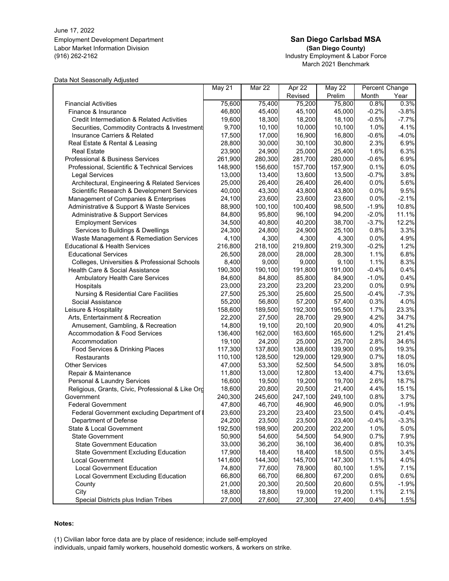June 17, 2022 Employment Development Department **San Diego Carlsbad MSA** Labor Market Information Division **(San Diego County)**

# (916) 262-2162 Industry Employment & Labor Force March 2021 Benchmark

#### Data Not Seasonally Adjusted

|                                                       | May 21  | <b>Mar 22</b> | Apr 22  | May 22  | Percent Change |         |
|-------------------------------------------------------|---------|---------------|---------|---------|----------------|---------|
|                                                       |         |               | Revised | Prelim  | Month          | Year    |
| <b>Financial Activities</b>                           | 75,600  | 75,400        | 75,200  | 75,800  | 0.8%           | 0.3%    |
| Finance & Insurance                                   | 46,800  | 45,400        | 45,100  | 45,000  | $-0.2%$        | $-3.8%$ |
| <b>Credit Intermediation &amp; Related Activities</b> | 19,600  | 18,300        | 18,200  | 18,100  | $-0.5%$        | $-7.7%$ |
| Securities, Commodity Contracts & Investment          | 9,700   | 10,100        | 10,000  | 10,100  | 1.0%           | 4.1%    |
| <b>Insurance Carriers &amp; Related</b>               | 17,500  | 17,000        | 16,900  | 16,800  | $-0.6%$        | $-4.0%$ |
| Real Estate & Rental & Leasing                        | 28,800  | 30,000        | 30,100  | 30,800  | 2.3%           | 6.9%    |
| Real Estate                                           | 23,900  | 24,900        | 25,000  | 25,400  | 1.6%           | 6.3%    |
| Professional & Business Services                      | 261,900 | 280,300       | 281,700 | 280,000 | $-0.6%$        | 6.9%    |
| Professional, Scientific & Technical Services         | 148,900 | 156,600       | 157,700 | 157,900 | 0.1%           | 6.0%    |
| <b>Legal Services</b>                                 | 13,000  | 13,400        | 13,600  | 13,500  | $-0.7%$        | 3.8%    |
| Architectural, Engineering & Related Services         | 25,000  | 26,400        | 26,400  | 26,400  | 0.0%           | 5.6%    |
| Scientific Research & Development Services            | 40,000  | 43,300        | 43,800  | 43,800  | 0.0%           | 9.5%    |
| Management of Companies & Enterprises                 | 24,100  | 23,600        | 23,600  | 23,600  | 0.0%           | $-2.1%$ |
| Administrative & Support & Waste Services             | 88,900  | 100,100       | 100,400 | 98,500  | $-1.9%$        | 10.8%   |
| Administrative & Support Services                     | 84,800  | 95,800        | 96,100  | 94,200  | $-2.0%$        | 11.1%   |
| <b>Employment Services</b>                            | 34,500  | 40,800        | 40,200  | 38,700  | $-3.7%$        | 12.2%   |
| Services to Buildings & Dwellings                     | 24,300  | 24,800        | 24,900  | 25,100  | 0.8%           | 3.3%    |
| Waste Management & Remediation Services               | 4,100   | 4,300         | 4,300   | 4,300   | 0.0%           | 4.9%    |
| <b>Educational &amp; Health Services</b>              | 216,800 | 218,100       | 219,800 | 219,300 | $-0.2%$        | 1.2%    |
| <b>Educational Services</b>                           | 26,500  | 28,000        | 28,000  | 28,300  | 1.1%           | 6.8%    |
| Colleges, Universities & Professional Schools         | 8,400   | 9,000         | 9,000   | 9,100   | 1.1%           | 8.3%    |
| Health Care & Social Assistance                       | 190,300 | 190,100       | 191,800 | 191,000 | $-0.4%$        | 0.4%    |
| Ambulatory Health Care Services                       | 84,600  | 84,800        | 85,800  | 84,900  | $-1.0%$        | 0.4%    |
| Hospitals                                             | 23,000  | 23,200        | 23,200  | 23,200  | 0.0%           | 0.9%    |
| <b>Nursing &amp; Residential Care Facilities</b>      | 27,500  | 25,300        | 25,600  | 25,500  | $-0.4%$        | $-7.3%$ |
| Social Assistance                                     | 55,200  | 56,800        | 57,200  | 57,400  | 0.3%           | 4.0%    |
| Leisure & Hospitality                                 | 158,600 | 189,500       | 192,300 | 195,500 | 1.7%           | 23.3%   |
| Arts, Entertainment & Recreation                      | 22,200  | 27,500        | 28,700  | 29,900  | 4.2%           | 34.7%   |
| Amusement, Gambling, & Recreation                     | 14,800  | 19,100        | 20,100  | 20,900  | 4.0%           | 41.2%   |
| Accommodation & Food Services                         | 136,400 | 162,000       | 163,600 | 165,600 | 1.2%           | 21.4%   |
| Accommodation                                         | 19,100  | 24,200        | 25,000  | 25,700  | 2.8%           | 34.6%   |
| Food Services & Drinking Places                       | 117,300 | 137,800       | 138,600 | 139,900 | 0.9%           | 19.3%   |
| Restaurants                                           | 110,100 | 128,500       | 129,000 | 129,900 | 0.7%           | 18.0%   |
| <b>Other Services</b>                                 | 47,000  | 53,300        | 52,500  | 54,500  | 3.8%           | 16.0%   |
| Repair & Maintenance                                  | 11,800  | 13,000        | 12,800  | 13,400  | 4.7%           | 13.6%   |
| Personal & Laundry Services                           | 16,600  | 19,500        | 19,200  | 19,700  | 2.6%           | 18.7%   |
| Religious, Grants, Civic, Professional & Like Org     | 18,600  | 20,800        | 20,500  | 21,400  | 4.4%           | 15.1%   |
| Government                                            | 240,300 | 245,600       | 247,100 | 249,100 | 0.8%           | 3.7%    |
| <b>Federal Government</b>                             | 47,800  | 46,700        | 46,900  | 46,900  | 0.0%           | $-1.9%$ |
| Federal Government excluding Department of I          | 23,600  | 23,200        | 23,400  | 23,500  | 0.4%           | $-0.4%$ |
| Department of Defense                                 | 24,200  | 23,500        | 23,500  | 23,400  | $-0.4%$        | $-3.3%$ |
| State & Local Government                              | 192,500 | 198,900       | 200,200 | 202,200 | 1.0%           | 5.0%    |
| <b>State Government</b>                               | 50,900  | 54,600        | 54,500  | 54,900  | 0.7%           | 7.9%    |
| <b>State Government Education</b>                     | 33,000  | 36,200        | 36,100  | 36,400  | 0.8%           | 10.3%   |
| <b>State Government Excluding Education</b>           | 17,900  | 18,400        | 18,400  | 18,500  | 0.5%           | 3.4%    |
| <b>Local Government</b>                               | 141,600 | 144,300       | 145,700 | 147,300 | 1.1%           | 4.0%    |
| <b>Local Government Education</b>                     | 74,800  | 77,600        | 78,900  | 80,100  | 1.5%           | 7.1%    |
| <b>Local Government Excluding Education</b>           | 66,800  | 66,700        | 66,800  | 67,200  | 0.6%           | 0.6%    |
| County                                                | 21,000  | 20,300        | 20,500  | 20,600  | 0.5%           | $-1.9%$ |
| City                                                  | 18,800  | 18,800        | 19,000  | 19,200  | 1.1%           | 2.1%    |
| Special Districts plus Indian Tribes                  | 27,000  | 27,600        | 27,300  | 27,400  | 0.4%           | 1.5%    |

### **Notes:**

(1) Civilian labor force data are by place of residence; include self-employed

individuals, unpaid family workers, household domestic workers, & workers on strike.